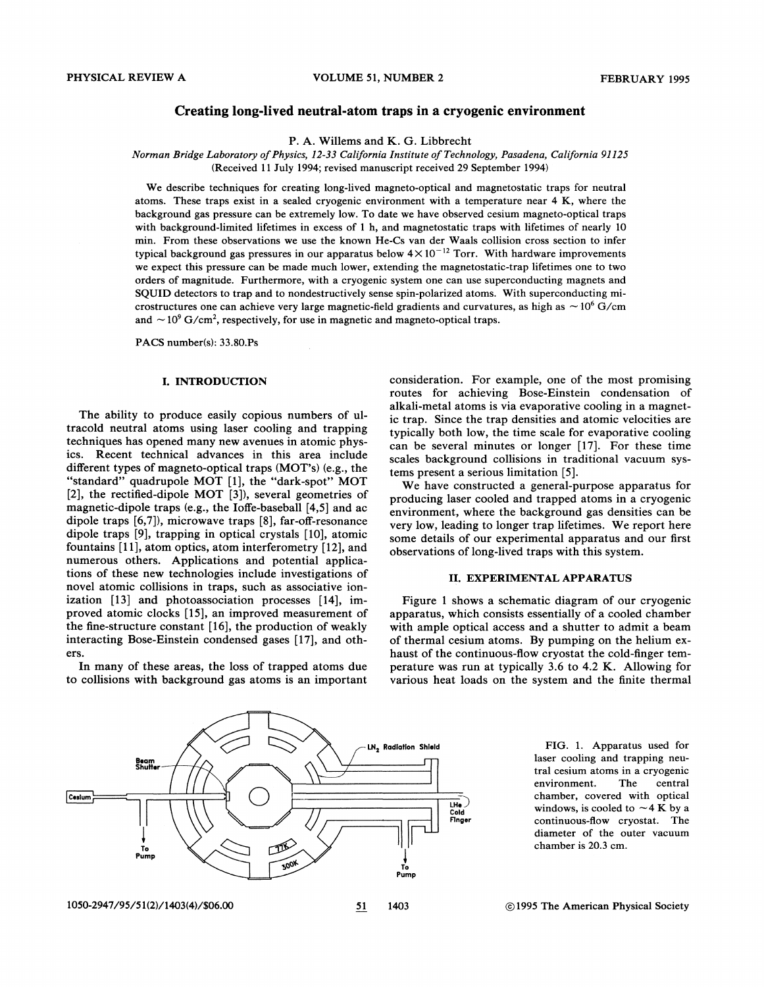## **Creating long-lived neutral-atom traps in a cryogenic environment**

P. A. Willems and K. G. Libbrecht

*Norman Bridge Laboratory of Physics, 12-33 California Institute of Technology, Pasadena, California 91125*  (Received 11 July 1994; revised manuscript received 29 September 1994)

We describe techniques for creating long-lived magneto-optical and magnetostatic traps for neutral atoms. These traps exist in a sealed cryogenic environment with a temperature near 4 K, where the background gas pressure can be extremely low. To date we have observed cesium magneto-optical traps with background-limited lifetimes in excess of 1 h, and magnetostatic traps with lifetimes of nearly 10 min. From these observations we use the known He-Cs van der Waals collision cross section to infer typical background gas pressures in our apparatus below  $4 \times 10^{-12}$  Torr. With hardware improvements we expect this pressure can be made much lower, extending the magnetostatic-trap lifetimes one to two orders of magnitude. Furthermore, with a cryogenic system one can use superconducting magnets and SQUID detectors to trap and to nondestructively sense spin-polarized atoms. With superconducting microstructures one can achieve very large magnetic-field gradients and curvatures, as high as  $\sim 10^6$  G/cm and  $\sim$  10<sup>9</sup> G/cm<sup>2</sup>, respectively, for use in magnetic and magneto-optical traps.

PACS number(s): 33.80.Ps

#### I. INTRODUCTION

The ability to produce easily copious numbers of ultracold neutral atoms using laser cooling and trapping techniques has opened many new avenues in atomic physics. Recent technical advances in this area include different types of magneto-optical traps (MOT's) (e.g., the "standard" quadrupole MOT [1], the "dark-spot" MOT [2], the rectified-dipole MOT [3]), several geometries of magnetic-dipole traps (e.g., the Ioffe-baseball [4,5] and ac dipole traps [6,7]), microwave traps [8], far-off-resonance dipole traps [9], trapping in optical crystals [10], atomic fountains [11], atom optics, atom interferometry [12], and numerous others. Applications and potential applications of these new technologies include investigations of novel atomic collisions in traps, such as associative ionization [13] and photoassociation processes [14], improved atomic clocks [15], an improved measurement of the fine-structure constant [16], the production of weakly interacting Bose-Einstein condensed gases [17], and others.

In many of these areas, the loss of trapped atoms due to collisions with background gas atoms is an important consideration. For example, one of the most promising routes for achieving Bose-Einstein condensation of alkali-metal atoms is via evaporative cooling in a magnetic trap. Since the trap densities and atomic velocities are typically both low, the time scale for evaporative cooling can be several minutes or longer [17]. For these time scales background collisions in traditional vacuum systems present a serious limitation [5].

We have constructed a general-purpose apparatus for producing laser cooled and trapped atoms in a cryogenic environment, where the background gas densities can be very low, leading to longer trap lifetimes. We report here some details of our experimental apparatus and our first observations of long-lived traps with this system.

# II. EXPERIMENTAL APPARATUS

Figure 1 shows a schematic diagram of our cryogenic apparatus, which consists essentially of a cooled chamber with ample optical access and a shutter to admit a beam of thermal cesium atoms. By pumping on the helium exhaust of the continuous-flow cryostat the cold-finger temperature was run at typically 3.6 to 4.2 K. Allowing for various heat loads on the system and the finite thermal



FIG. 1. Apparatus used for laser cooling and trapping neutral cesium atoms in a cryogenic environment. The central chamber, covered with optical windows, is cooled to  $\sim$  4 K by a continuous-flow cryostat. The diameter of the outer vacuum chamber is 20.3 em.

1050-2947/95/5 1(2)/1403(4)/\$06.00 51

```
1403
```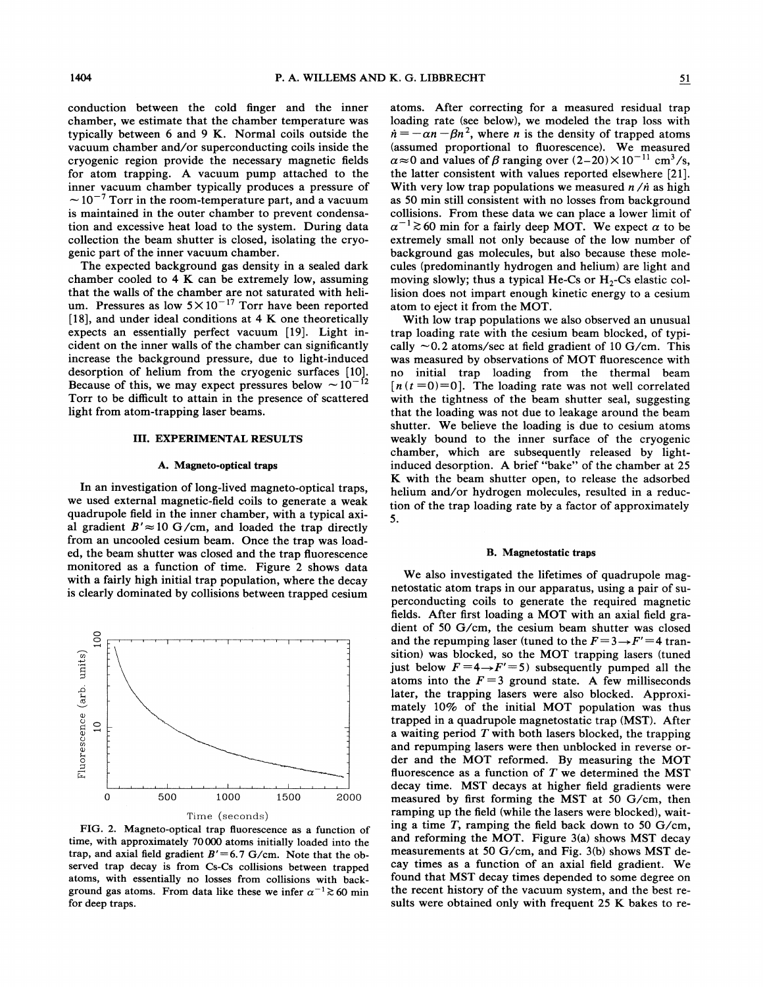conduction between the cold finger and the inner chamber, we estimate that the chamber temperature was typically between 6 and 9 K. Normal coils outside the vacuum chamber and/or superconducting coils inside the cryogenic region provide the necessary magnetic fields for atom trapping. A vacuum pump attached to the inner vacuum chamber typically produces a pressure of  $\sim$  10<sup>-7</sup> Torr in the room-temperature part, and a vacuum is maintained in the outer chamber to prevent condensation and excessive heat load to the system. During data collection the beam shutter is closed, isolating the cryogenic part of the inner vacuum chamber.

The expected background gas density in a sealed dark chamber cooled to  $4 K$  can be extremely low, assuming that the walls of the chamber are not saturated with helium. Pressures as low  $5 \times 10^{-17}$  Torr have been reported [18], and under ideal conditions at  $4 K$  one theoretically expects an essentially perfect vacuum [19]. Light incident on the inner walls of the chamber can significantly increase the background pressure, due to light-induced desorption of helium from the cryogenic surfaces [10}- Because of this, we may expect pressures below  $\sim 10^{-12}$ Torr to be difficult to attain in the presence of scattered light from atom-trapping laser beams.

### III. EXPERIMENTAL RESULTS

# A. Magneto-optical traps

In an investigation of long-lived magneto-optical traps, we used external magnetic-field coils to generate a weak quadrupole field in the inner chamber, with a typical axial gradient  $B' \approx 10$  G/cm, and loaded the trap directly from an uncooled cesium beam. Once the trap was loaded, the beam shutter was closed and the trap fluorescence monitored as a function of time. Figure 2 shows data with a fairly high initial trap population, where the decay is clearly dominated by collisions between trapped cesium



FIG. 2. Magneto-optical trap fluorescence as a function of time, with approximately 70000 atoms initially loaded into the trap, and axial field gradient  $B' = 6.7$  G/cm. Note that the observed trap decay is from Cs-Cs collisions between trapped atoms, with essentially no losses from collisions with background gas atoms. From data like these we infer  $\alpha^{-1} \ge 60$  min for deep traps.

atoms. After correcting for a measured residual trap loading rate (see below), we modeled the trap loss with  $\dot{n} = -\alpha n - \beta n^2$ , where *n* is the density of trapped atoms (assumed proportional to fluorescence). We measured  $\alpha \approx 0$  and values of  $\beta$  ranging over  $(2-20) \times 10^{-11}$  cm<sup>3</sup>/s, the latter consistent with values reported elsewhere [21]. With very low trap populations we measured  $n/n$  as high as 50 min still consistent with no losses from background collisions. From these data we can place a lower limit of  $\alpha^{-1}$   $\gtrsim$  60 min for a fairly deep MOT. We expect  $\alpha$  to be extremely small not only because of the low number of background gas molecules, but also because these molecules (predominantly hydrogen and helium) are light and moving slowly; thus a typical He-Cs or  $H_2$ -Cs elastic collision does not impart enough kinetic energy to a cesium atom to eject it from the MOT.

With low trap populations we also observed an unusual trap loading rate with the cesium beam blocked, of typically  $\sim$  0.2 atoms/sec at field gradient of 10 G/cm. This was measured by observations of MOT fluorescence with no initial trap loading from the thermal beam  $[n(t=0)=0]$ . The loading rate was not well correlated with the tightness of the beam shutter seal, suggesting that the loading was not due to leakage around the beam shutter. We believe the loading is due to cesium atoms weakly bound to the inner surface of the cryogenic chamber, which are subsequently released by lightinduced desorption. A brief "bake" of the chamber at 25 K with the beam shutter open, to release the adsorbed helium and/or hydrogen molecules, resulted in a reduction of the trap loading rate by a factor of approximately 5.

#### B. Magnetostatic traps

We also investigated the lifetimes of quadrupole magnetostatic atom traps in our apparatus, using a pair of superconducting coils to generate the required magnetic fields. After first loading a MOT with an axial field gradient of 50 G/cm, the cesium beam shutter was closed and the repumping laser (tuned to the  $F = 3 \rightarrow F' = 4$  transition) was blocked, so the MOT trapping lasers (tuned just below  $F=4 \rightarrow F'=5$ ) subsequently pumped all the atoms into the  $F = 3$  ground state. A few milliseconds later, the trapping lasers were also blocked. Approximately 10% of the initial MOT population was thus trapped in a quadrupole magnetostatic trap (MST). After a waiting period *T* with both lasers blocked, the trapping and repumping lasers were then unblocked in reverse order and the MOT reformed. By measuring the MOT fluorescence as a function of  $T$  we determined the MST decay time. MST decays at higher field gradients were measured by first forming the MST at 50 G/cm, then ramping up the field (while the lasers were blocked), waiting a time  $T$ , ramping the field back down to 50 G/cm, and reforming the MOT. Figure 3(a) shows MST decay measurements at 50 G/cm, and Fig. 3(b) shows MST decay times as a function of an axial field gradient. We found that MST decay times depended to some degree on the recent history of the vacuum system, and the best results were obtained only with frequent 25 K bakes to re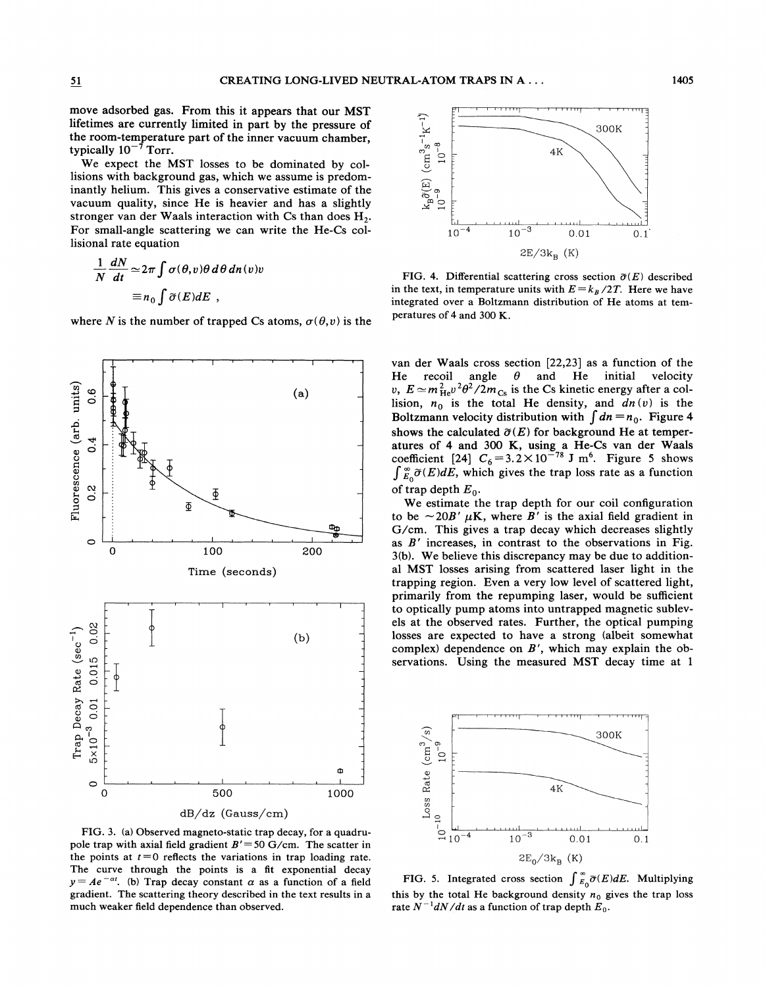move adsorbed gas. From this it appears that our MST lifetimes are currently limited in part by the pressure of the room-temperature part of the inner vacuum chamber, typically  $10^{-7}$  Torr.

We expect the MST losses to be dominated by collisions with background gas, which we assume is predominantly helium. This gives a conservative estimate of the vacuum quality, since He is heavier and has a slightly stronger van der Waals interaction with Cs than does  $H_2$ . For small-angle scattering we can write the He-Cs collisional rate equation

$$
\frac{1}{N} \frac{dN}{dt} \simeq 2\pi \int \sigma(\theta, v) \theta \, d\theta \, dn(v)v
$$

$$
\equiv n_0 \int \widetilde{\sigma}(E) dE ,
$$

where *N* is the number of trapped Cs atoms,  $\sigma(\theta, v)$  is the



FIG. 3. (a) Observed magneto-static trap decay, for a quadrupole trap with axial field gradient *B'=50* G/cm. The scatter in the points at  $t = 0$  reflects the variations in trap loading rate. The curve through the points is a fit exponential decay  $y = Ae^{-at}$ . (b) Trap decay constant  $\alpha$  as a function of a field gradient. The scattering theory described in the text results in a much weaker field dependence than observed.



FIG. 4. Differential scattering cross section  $\tilde{\sigma}(E)$  described in the text, in temperature units with  $E = k_B/2T$ . Here we have integrated over a Boltzmann distribution of He atoms at temperatures of 4 and 300 K.

van der Waals cross section [22,23] as a function of the<br>He recoil angle  $\theta$  and He initial velocity He recoil angle  $\theta$  and He initial *v*,  $E \simeq m_{\text{He}}^2 v^2 \theta^2 / 2m_{\text{Cs}}$  is the Cs kinetic energy after a collision,  $n_0$  is the total He density, and  $dn(v)$  is the Boltzmann velocity distribution with  $\int dn = n_0$ . Figure 4 shows the calculated  $\tilde{\sigma}(E)$  for background He at temperatures of 4 and 300 K, using a He-Cs van der Waals coefficient [24]  $C_6 = 3.2 \times 10^{-78}$  J m<sup>6</sup>. Figure 5 shows  $\int_{E_0}^{\infty} \widetilde{\sigma}(E)dE$ , which gives the trap loss rate as a function of trap depth  $E_0$ .

We estimate the trap depth for our coil configuration to be  $\sim$  20B'  $\mu$ K, where B' is the axial field gradient in G/cm. This gives a trap decay which decreases slightly as  $B'$  increases, in contrast to the observations in Fig. 3(b). We believe this discrepancy may be due to additional MST losses arising from scattered laser light in the trapping region. Even a very low level of scattered light, primarily from the repumping laser, would be sufficient to optically pump atoms into untrapped magnetic sublevels at the observed rates. Further, the optical pumping losses are expected to have a strong (albeit somewhat complex) dependence on  $B'$ , which may explain the observations. Using the measured MST decay time at 1



FIG. 5. Integrated cross section  $\int_{E_0}^{\infty} \tilde{\sigma}(E)dE$ . Multiplying this by the total He background density  $n_0$  gives the trap loss rate  $N^{-1}dN/dt$  as a function of trap depth  $E_0$ .